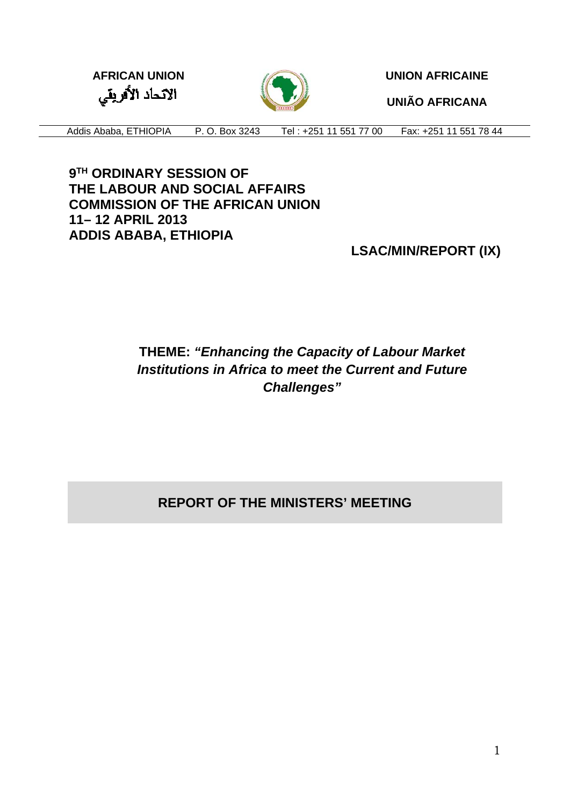الاتحاد الأفريقي



**AFRICAN UNION CONTRIGAINE** 

**UNIÃO AFRICANA** 

Addis Ababa, ETHIOPIA P. O. Box 3243 Tel : +251 11 551 77 00 Fax: +251 11 551 78 44

**9TH ORDINARY SESSION OF THE LABOUR AND SOCIAL AFFAIRS COMMISSION OF THE AFRICAN UNION 11– 12 APRIL 2013 ADDIS ABABA, ETHIOPIA** 

**LSAC/MIN/REPORT (IX)**

# **THEME:** *"Enhancing the Capacity of Labour Market Institutions in Africa to meet the Current and Future Challenges"*

# **REPORT OF THE MINISTERS' MEETING**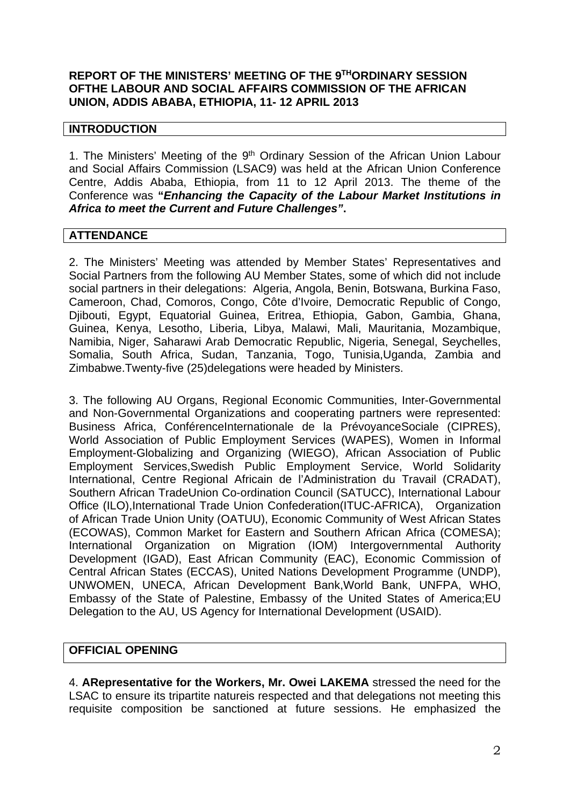### **REPORT OF THE MINISTERS' MEETING OF THE 9THORDINARY SESSION OFTHE LABOUR AND SOCIAL AFFAIRS COMMISSION OF THE AFRICAN UNION, ADDIS ABABA, ETHIOPIA, 11- 12 APRIL 2013**

#### **INTRODUCTION**

1. The Ministers' Meeting of the 9<sup>th</sup> Ordinary Session of the African Union Labour and Social Affairs Commission (LSAC9) was held at the African Union Conference Centre, Addis Ababa, Ethiopia, from 11 to 12 April 2013. The theme of the Conference was **"***Enhancing the Capacity of the Labour Market Institutions in Africa to meet the Current and Future Challenges"***.**

#### **ATTENDANCE**

2. The Ministers' Meeting was attended by Member States' Representatives and Social Partners from the following AU Member States, some of which did not include social partners in their delegations: Algeria, Angola, Benin, Botswana, Burkina Faso, Cameroon, Chad, Comoros, Congo, Côte d'Ivoire, Democratic Republic of Congo, Djibouti, Egypt, Equatorial Guinea, Eritrea, Ethiopia, Gabon, Gambia, Ghana, Guinea, Kenya, Lesotho, Liberia, Libya, Malawi, Mali, Mauritania, Mozambique, Namibia, Niger, Saharawi Arab Democratic Republic, Nigeria, Senegal, Seychelles, Somalia, South Africa, Sudan, Tanzania, Togo, Tunisia,Uganda, Zambia and Zimbabwe.Twenty-five (25)delegations were headed by Ministers.

3. The following AU Organs, Regional Economic Communities, Inter-Governmental and Non-Governmental Organizations and cooperating partners were represented: Business Africa, ConférenceInternationale de la PrévoyanceSociale (CIPRES), World Association of Public Employment Services (WAPES), Women in Informal Employment-Globalizing and Organizing (WIEGO), African Association of Public Employment Services,Swedish Public Employment Service, World Solidarity International, Centre Regional Africain de l'Administration du Travail (CRADAT), Southern African TradeUnion Co-ordination Council (SATUCC), International Labour Office (ILO),International Trade Union Confederation(ITUC-AFRICA), Organization of African Trade Union Unity (OATUU), Economic Community of West African States (ECOWAS), Common Market for Eastern and Southern African Africa (COMESA); International Organization on Migration (IOM) Intergovernmental Authority Development (IGAD), East African Community (EAC), Economic Commission of Central African States (ECCAS), United Nations Development Programme (UNDP), UNWOMEN, UNECA, African Development Bank,World Bank, UNFPA, WHO, Embassy of the State of Palestine, Embassy of the United States of America;EU Delegation to the AU, US Agency for International Development (USAID).

#### **OFFICIAL OPENING**

4. **ARepresentative for the Workers, Mr. Owei LAKEMA** stressed the need for the LSAC to ensure its tripartite natureis respected and that delegations not meeting this requisite composition be sanctioned at future sessions. He emphasized the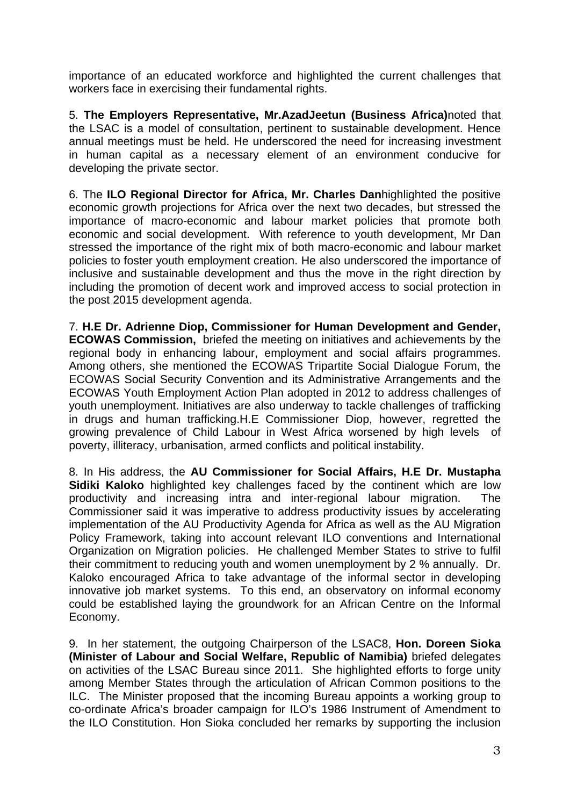importance of an educated workforce and highlighted the current challenges that workers face in exercising their fundamental rights.

5. **The Employers Representative, Mr.AzadJeetun (Business Africa)**noted that the LSAC is a model of consultation, pertinent to sustainable development. Hence annual meetings must be held. He underscored the need for increasing investment in human capital as a necessary element of an environment conducive for developing the private sector.

6. The **ILO Regional Director for Africa, Mr. Charles Dan**highlighted the positive economic growth projections for Africa over the next two decades, but stressed the importance of macro-economic and labour market policies that promote both economic and social development. With reference to youth development, Mr Dan stressed the importance of the right mix of both macro-economic and labour market policies to foster youth employment creation. He also underscored the importance of inclusive and sustainable development and thus the move in the right direction by including the promotion of decent work and improved access to social protection in the post 2015 development agenda.

7. **H.E Dr. Adrienne Diop, Commissioner for Human Development and Gender, ECOWAS Commission,** briefed the meeting on initiatives and achievements by the regional body in enhancing labour, employment and social affairs programmes. Among others, she mentioned the ECOWAS Tripartite Social Dialogue Forum, the ECOWAS Social Security Convention and its Administrative Arrangements and the ECOWAS Youth Employment Action Plan adopted in 2012 to address challenges of youth unemployment. Initiatives are also underway to tackle challenges of trafficking in drugs and human trafficking.H.E Commissioner Diop, however, regretted the growing prevalence of Child Labour in West Africa worsened by high levels of poverty, illiteracy, urbanisation, armed conflicts and political instability.

8. In His address, the **AU Commissioner for Social Affairs, H.E Dr. Mustapha Sidiki Kaloko** highlighted key challenges faced by the continent which are low productivity and increasing intra and inter-regional labour migration. The Commissioner said it was imperative to address productivity issues by accelerating implementation of the AU Productivity Agenda for Africa as well as the AU Migration Policy Framework, taking into account relevant ILO conventions and International Organization on Migration policies. He challenged Member States to strive to fulfil their commitment to reducing youth and women unemployment by 2 % annually. Dr. Kaloko encouraged Africa to take advantage of the informal sector in developing innovative job market systems. To this end, an observatory on informal economy could be established laying the groundwork for an African Centre on the Informal Economy.

9. In her statement, the outgoing Chairperson of the LSAC8, **Hon. Doreen Sioka (Minister of Labour and Social Welfare, Republic of Namibia)** briefed delegates on activities of the LSAC Bureau since 2011. She highlighted efforts to forge unity among Member States through the articulation of African Common positions to the ILC. The Minister proposed that the incoming Bureau appoints a working group to co-ordinate Africa's broader campaign for ILO's 1986 Instrument of Amendment to the ILO Constitution. Hon Sioka concluded her remarks by supporting the inclusion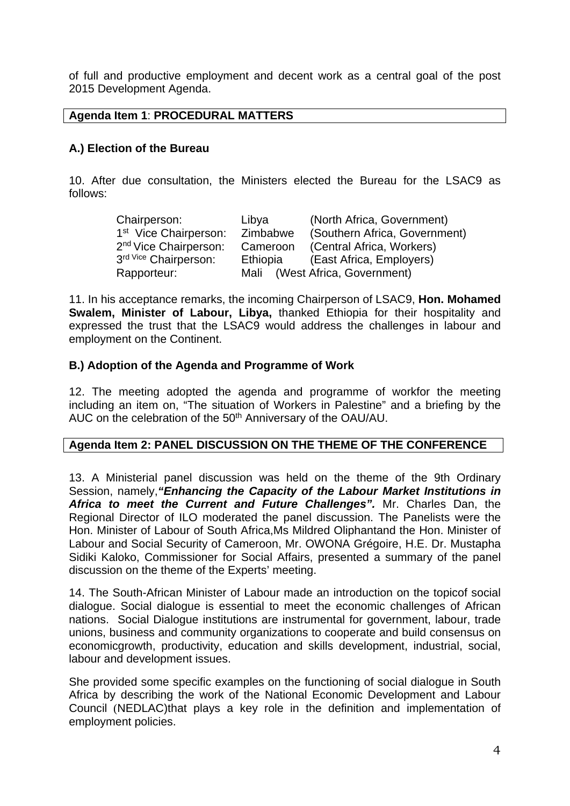of full and productive employment and decent work as a central goal of the post 2015 Development Agenda.

# **Agenda Item 1**: **PROCEDURAL MATTERS**

# **A.) Election of the Bureau**

10. After due consultation, the Ministers elected the Bureau for the LSAC9 as follows:

| Chairperson:                      | Libya    | (North Africa, Government)     |
|-----------------------------------|----------|--------------------------------|
| 1 <sup>st</sup> Vice Chairperson: | Zimbabwe | (Southern Africa, Government)  |
| 2 <sup>nd</sup> Vice Chairperson: | Cameroon | (Central Africa, Workers)      |
| 3rd Vice Chairperson:             | Ethiopia | (East Africa, Employers)       |
| Rapporteur:                       |          | Mali (West Africa, Government) |

11. In his acceptance remarks, the incoming Chairperson of LSAC9, **Hon. Mohamed Swalem, Minister of Labour, Libya,** thanked Ethiopia for their hospitality and expressed the trust that the LSAC9 would address the challenges in labour and employment on the Continent.

#### **B.) Adoption of the Agenda and Programme of Work**

12. The meeting adopted the agenda and programme of workfor the meeting including an item on, "The situation of Workers in Palestine" and a briefing by the AUC on the celebration of the 50<sup>th</sup> Anniversary of the OAU/AU.

#### **Agenda Item 2: PANEL DISCUSSION ON THE THEME OF THE CONFERENCE**

13. A Ministerial panel discussion was held on the theme of the 9th Ordinary Session, namely,*"Enhancing the Capacity of the Labour Market Institutions in Africa to meet the Current and Future Challenges".* Mr. Charles Dan, the Regional Director of ILO moderated the panel discussion. The Panelists were the Hon. Minister of Labour of South Africa,Ms Mildred Oliphantand the Hon. Minister of Labour and Social Security of Cameroon, Mr. OWONA Grégoire, H.E. Dr. Mustapha Sidiki Kaloko, Commissioner for Social Affairs, presented a summary of the panel discussion on the theme of the Experts' meeting.

14. The South-African Minister of Labour made an introduction on the topicof social dialogue. Social dialogue is essential to meet the economic challenges of African nations. Social Dialogue institutions are instrumental for government, labour, trade unions, business and community organizations to cooperate and build consensus on economicgrowth, productivity, education and skills development, industrial, social, labour and development issues.

She provided some specific examples on the functioning of social dialogue in South Africa by describing the work of the National Economic Development and Labour Council (NEDLAC)that plays a key role in the definition and implementation of employment policies.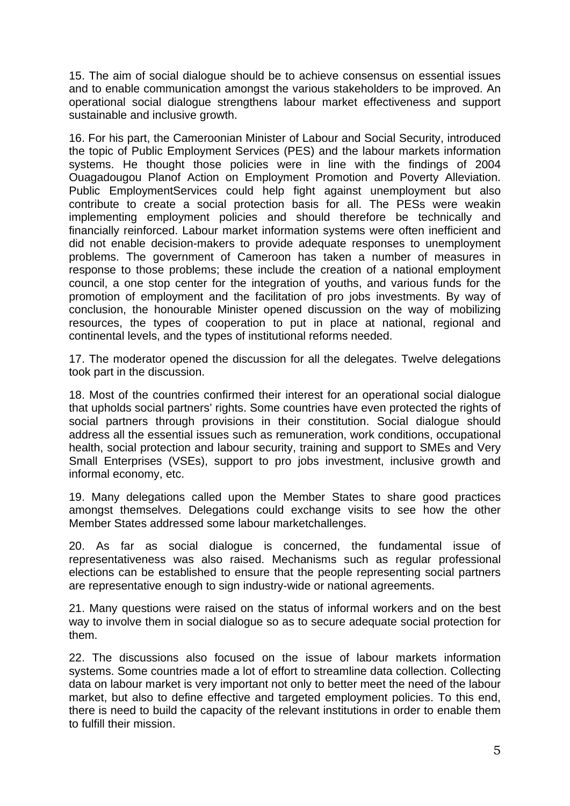15. The aim of social dialogue should be to achieve consensus on essential issues and to enable communication amongst the various stakeholders to be improved. An operational social dialogue strengthens labour market effectiveness and support sustainable and inclusive growth.

16. For his part, the Cameroonian Minister of Labour and Social Security, introduced the topic of Public Employment Services (PES) and the labour markets information systems. He thought those policies were in line with the findings of 2004 Ouagadougou Planof Action on Employment Promotion and Poverty Alleviation. Public EmploymentServices could help fight against unemployment but also contribute to create a social protection basis for all. The PESs were weakin implementing employment policies and should therefore be technically and financially reinforced. Labour market information systems were often inefficient and did not enable decision-makers to provide adequate responses to unemployment problems. The government of Cameroon has taken a number of measures in response to those problems; these include the creation of a national employment council, a one stop center for the integration of youths, and various funds for the promotion of employment and the facilitation of pro jobs investments. By way of conclusion, the honourable Minister opened discussion on the way of mobilizing resources, the types of cooperation to put in place at national, regional and continental levels, and the types of institutional reforms needed.

17. The moderator opened the discussion for all the delegates. Twelve delegations took part in the discussion.

18. Most of the countries confirmed their interest for an operational social dialogue that upholds social partners' rights. Some countries have even protected the rights of social partners through provisions in their constitution. Social dialogue should address all the essential issues such as remuneration, work conditions, occupational health, social protection and labour security, training and support to SMEs and Very Small Enterprises (VSEs), support to pro jobs investment, inclusive growth and informal economy, etc.

19. Many delegations called upon the Member States to share good practices amongst themselves. Delegations could exchange visits to see how the other Member States addressed some labour marketchallenges.

20. As far as social dialogue is concerned, the fundamental issue of representativeness was also raised. Mechanisms such as regular professional elections can be established to ensure that the people representing social partners are representative enough to sign industry-wide or national agreements.

21. Many questions were raised on the status of informal workers and on the best way to involve them in social dialogue so as to secure adequate social protection for them.

22. The discussions also focused on the issue of labour markets information systems. Some countries made a lot of effort to streamline data collection. Collecting data on labour market is very important not only to better meet the need of the labour market, but also to define effective and targeted employment policies. To this end, there is need to build the capacity of the relevant institutions in order to enable them to fulfill their mission.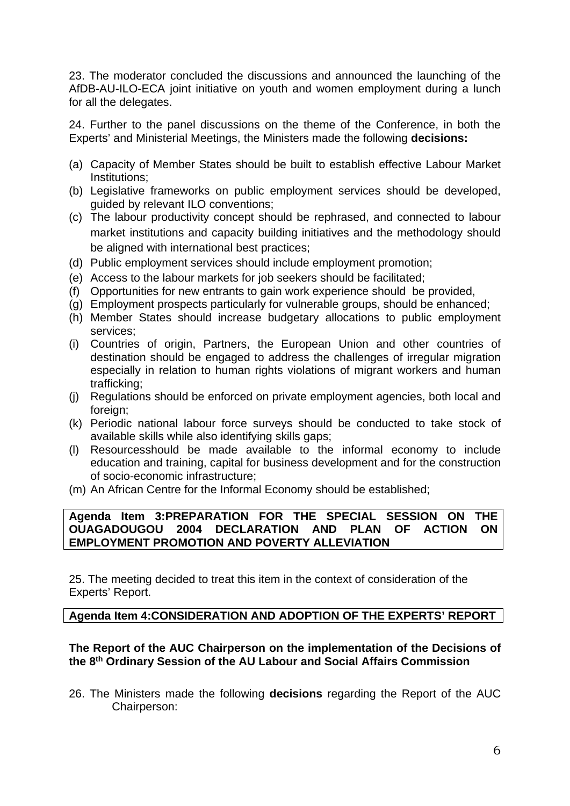23. The moderator concluded the discussions and announced the launching of the AfDB-AU-ILO-ECA joint initiative on youth and women employment during a lunch for all the delegates.

24. Further to the panel discussions on the theme of the Conference, in both the Experts' and Ministerial Meetings, the Ministers made the following **decisions:**

- (a) Capacity of Member States should be built to establish effective Labour Market Institutions;
- (b) Legislative frameworks on public employment services should be developed, guided by relevant ILO conventions;
- (c) The labour productivity concept should be rephrased, and connected to labour market institutions and capacity building initiatives and the methodology should be aligned with international best practices;
- (d) Public employment services should include employment promotion;
- (e) Access to the labour markets for job seekers should be facilitated;
- (f) Opportunities for new entrants to gain work experience should be provided,
- (g) Employment prospects particularly for vulnerable groups, should be enhanced;
- (h) Member States should increase budgetary allocations to public employment services;
- (i) Countries of origin, Partners, the European Union and other countries of destination should be engaged to address the challenges of irregular migration especially in relation to human rights violations of migrant workers and human trafficking;
- (j) Regulations should be enforced on private employment agencies, both local and foreign;
- (k) Periodic national labour force surveys should be conducted to take stock of available skills while also identifying skills gaps;
- (l) Resourcesshould be made available to the informal economy to include education and training, capital for business development and for the construction of socio-economic infrastructure;
- (m) An African Centre for the Informal Economy should be established;

#### **Agenda Item 3:PREPARATION FOR THE SPECIAL SESSION ON THE OUAGADOUGOU 2004 DECLARATION AND PLAN OF ACTION ON EMPLOYMENT PROMOTION AND POVERTY ALLEVIATION**

25. The meeting decided to treat this item in the context of consideration of the Experts' Report.

#### **Agenda Item 4:CONSIDERATION AND ADOPTION OF THE EXPERTS' REPORT**

#### **The Report of the AUC Chairperson on the implementation of the Decisions of the 8th Ordinary Session of the AU Labour and Social Affairs Commission**

26. The Ministers made the following **decisions** regarding the Report of the AUC Chairperson: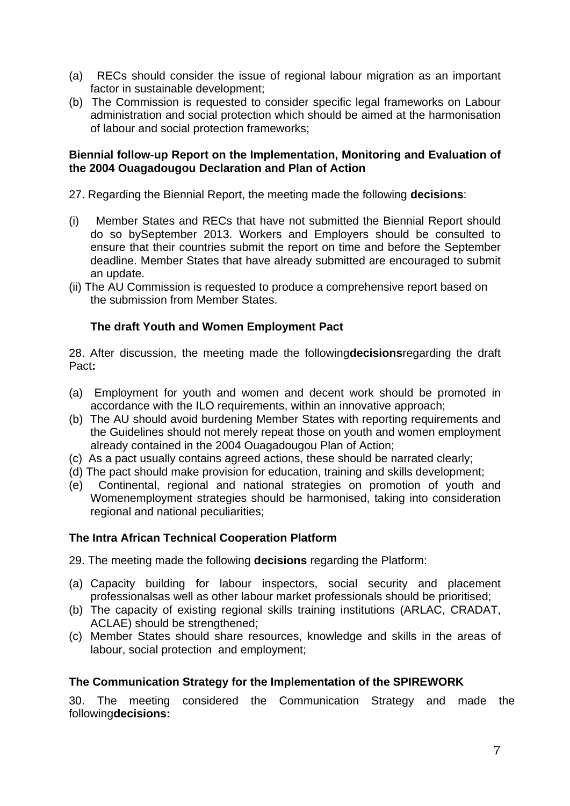- (a) RECs should consider the issue of regional labour migration as an important factor in sustainable development;
- (b) The Commission is requested to consider specific legal frameworks on Labour administration and social protection which should be aimed at the harmonisation of labour and social protection frameworks;

### **Biennial follow-up Report on the Implementation, Monitoring and Evaluation of the 2004 Ouagadougou Declaration and Plan of Action**

27. Regarding the Biennial Report, the meeting made the following **decisions**:

- (i) Member States and RECs that have not submitted the Biennial Report should do so bySeptember 2013. Workers and Employers should be consulted to ensure that their countries submit the report on time and before the September deadline. Member States that have already submitted are encouraged to submit an update.
- (ii) The AU Commission is requested to produce a comprehensive report based on the submission from Member States.

# **The draft Youth and Women Employment Pact**

28. After discussion, the meeting made the following**decisions**regarding the draft Pact**:**

- (a) Employment for youth and women and decent work should be promoted in accordance with the ILO requirements, within an innovative approach;
- (b) The AU should avoid burdening Member States with reporting requirements and the Guidelines should not merely repeat those on youth and women employment already contained in the 2004 Ouagadougou Plan of Action;
- (c) As a pact usually contains agreed actions, these should be narrated clearly;
- (d) The pact should make provision for education, training and skills development;
- (e) Continental, regional and national strategies on promotion of youth and Womenemployment strategies should be harmonised, taking into consideration regional and national peculiarities;

#### **The Intra African Technical Cooperation Platform**

29. The meeting made the following **decisions** regarding the Platform:

- (a) Capacity building for labour inspectors, social security and placement professionalsas well as other labour market professionals should be prioritised;
- (b) The capacity of existing regional skills training institutions (ARLAC, CRADAT, ACLAE) should be strengthened;
- (c) Member States should share resources, knowledge and skills in the areas of labour, social protection and employment;

#### **The Communication Strategy for the Implementation of the SPIREWORK**

30. The meeting considered the Communication Strategy and made the following**decisions:**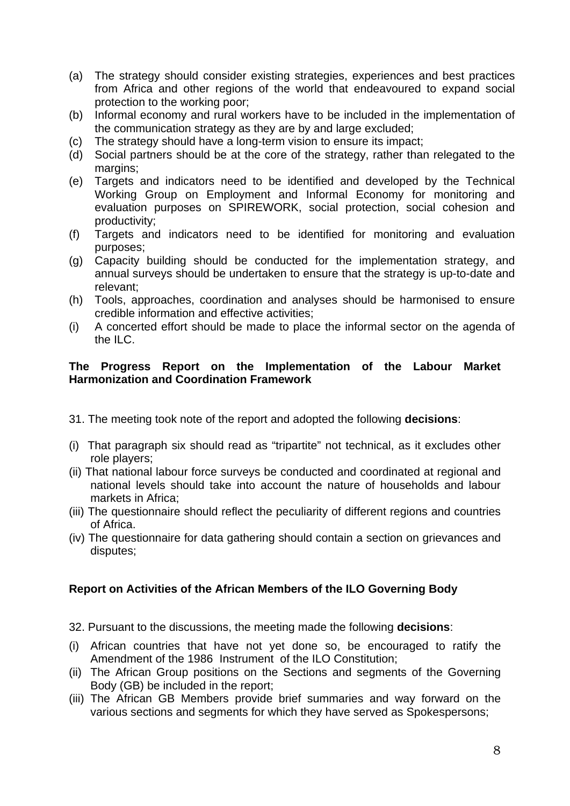- (a) The strategy should consider existing strategies, experiences and best practices from Africa and other regions of the world that endeavoured to expand social protection to the working poor;
- (b) Informal economy and rural workers have to be included in the implementation of the communication strategy as they are by and large excluded;
- (c) The strategy should have a long-term vision to ensure its impact;
- (d) Social partners should be at the core of the strategy, rather than relegated to the margins:
- (e) Targets and indicators need to be identified and developed by the Technical Working Group on Employment and Informal Economy for monitoring and evaluation purposes on SPIREWORK, social protection, social cohesion and productivity;
- (f) Targets and indicators need to be identified for monitoring and evaluation purposes;
- (g) Capacity building should be conducted for the implementation strategy, and annual surveys should be undertaken to ensure that the strategy is up-to-date and relevant;
- (h) Tools, approaches, coordination and analyses should be harmonised to ensure credible information and effective activities;
- (i) A concerted effort should be made to place the informal sector on the agenda of the ILC.

### **The Progress Report on the Implementation of the Labour Market Harmonization and Coordination Framework**

- 31. The meeting took note of the report and adopted the following **decisions**:
- (i) That paragraph six should read as "tripartite" not technical, as it excludes other role players;
- (ii) That national labour force surveys be conducted and coordinated at regional and national levels should take into account the nature of households and labour markets in Africa;
- (iii) The questionnaire should reflect the peculiarity of different regions and countries of Africa.
- (iv) The questionnaire for data gathering should contain a section on grievances and disputes;

# **Report on Activities of the African Members of the ILO Governing Body**

- 32. Pursuant to the discussions, the meeting made the following **decisions**:
- (i) African countries that have not yet done so, be encouraged to ratify the Amendment of the 1986 Instrument of the ILO Constitution;
- (ii) The African Group positions on the Sections and segments of the Governing Body (GB) be included in the report;
- (iii) The African GB Members provide brief summaries and way forward on the various sections and segments for which they have served as Spokespersons;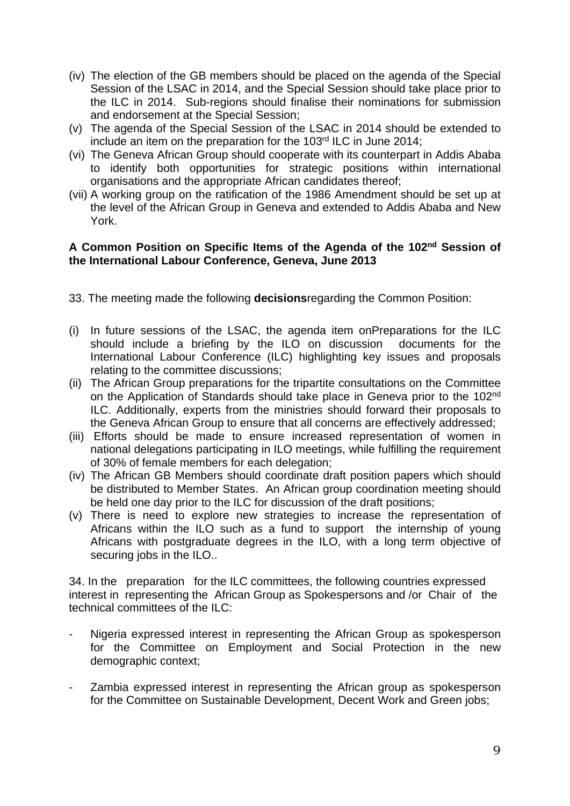- (iv) The election of the GB members should be placed on the agenda of the Special Session of the LSAC in 2014, and the Special Session should take place prior to the ILC in 2014. Sub-regions should finalise their nominations for submission and endorsement at the Special Session;
- (v) The agenda of the Special Session of the LSAC in 2014 should be extended to include an item on the preparation for the 103rd ILC in June 2014;
- (vi) The Geneva African Group should cooperate with its counterpart in Addis Ababa to identify both opportunities for strategic positions within international organisations and the appropriate African candidates thereof;
- (vii) A working group on the ratification of the 1986 Amendment should be set up at the level of the African Group in Geneva and extended to Addis Ababa and New York.

### **A Common Position on Specific Items of the Agenda of the 102nd Session of the International Labour Conference, Geneva, June 2013**

- 33. The meeting made the following **decisions**regarding the Common Position:
- (i) In future sessions of the LSAC, the agenda item onPreparations for the ILC should include a briefing by the ILO on discussion documents for the International Labour Conference (ILC) highlighting key issues and proposals relating to the committee discussions;
- (ii) The African Group preparations for the tripartite consultations on the Committee on the Application of Standards should take place in Geneva prior to the 102nd ILC. Additionally, experts from the ministries should forward their proposals to the Geneva African Group to ensure that all concerns are effectively addressed;
- (iii) Efforts should be made to ensure increased representation of women in national delegations participating in ILO meetings, while fulfilling the requirement of 30% of female members for each delegation;
- (iv) The African GB Members should coordinate draft position papers which should be distributed to Member States. An African group coordination meeting should be held one day prior to the ILC for discussion of the draft positions;
- (v) There is need to explore new strategies to increase the representation of Africans within the ILO such as a fund to support the internship of young Africans with postgraduate degrees in the ILO, with a long term objective of securing jobs in the ILO..

34. In the preparation for the ILC committees, the following countries expressed interest in representing the African Group as Spokespersons and /or Chair of the technical committees of the ILC:

- Nigeria expressed interest in representing the African Group as spokesperson for the Committee on Employment and Social Protection in the new demographic context;
- Zambia expressed interest in representing the African group as spokesperson for the Committee on Sustainable Development, Decent Work and Green jobs;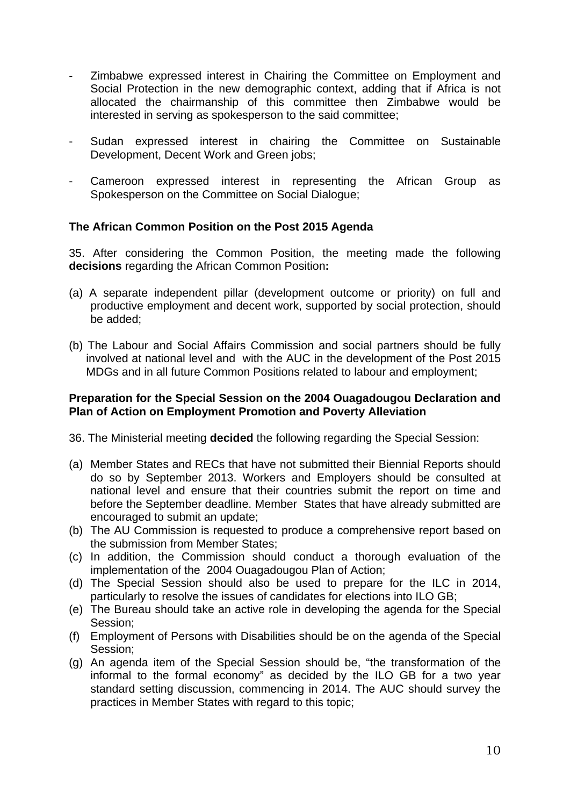- Zimbabwe expressed interest in Chairing the Committee on Employment and Social Protection in the new demographic context, adding that if Africa is not allocated the chairmanship of this committee then Zimbabwe would be interested in serving as spokesperson to the said committee;
- Sudan expressed interest in chairing the Committee on Sustainable Development, Decent Work and Green jobs;
- Cameroon expressed interest in representing the African Group as Spokesperson on the Committee on Social Dialogue;

# **The African Common Position on the Post 2015 Agenda**

35. After considering the Common Position, the meeting made the following **decisions** regarding the African Common Position**:** 

- (a) A separate independent pillar (development outcome or priority) on full and productive employment and decent work, supported by social protection, should be added;
- (b) The Labour and Social Affairs Commission and social partners should be fully involved at national level and with the AUC in the development of the Post 2015 MDGs and in all future Common Positions related to labour and employment;

#### **Preparation for the Special Session on the 2004 Ouagadougou Declaration and Plan of Action on Employment Promotion and Poverty Alleviation**

36. The Ministerial meeting **decided** the following regarding the Special Session:

- (a) Member States and RECs that have not submitted their Biennial Reports should do so by September 2013. Workers and Employers should be consulted at national level and ensure that their countries submit the report on time and before the September deadline. Member States that have already submitted are encouraged to submit an update;
- (b) The AU Commission is requested to produce a comprehensive report based on the submission from Member States;
- (c) In addition, the Commission should conduct a thorough evaluation of the implementation of the 2004 Ouagadougou Plan of Action;
- (d) The Special Session should also be used to prepare for the ILC in 2014, particularly to resolve the issues of candidates for elections into ILO GB;
- (e) The Bureau should take an active role in developing the agenda for the Special Session;
- (f) Employment of Persons with Disabilities should be on the agenda of the Special Session;
- (g) An agenda item of the Special Session should be, "the transformation of the informal to the formal economy" as decided by the ILO GB for a two year standard setting discussion, commencing in 2014. The AUC should survey the practices in Member States with regard to this topic;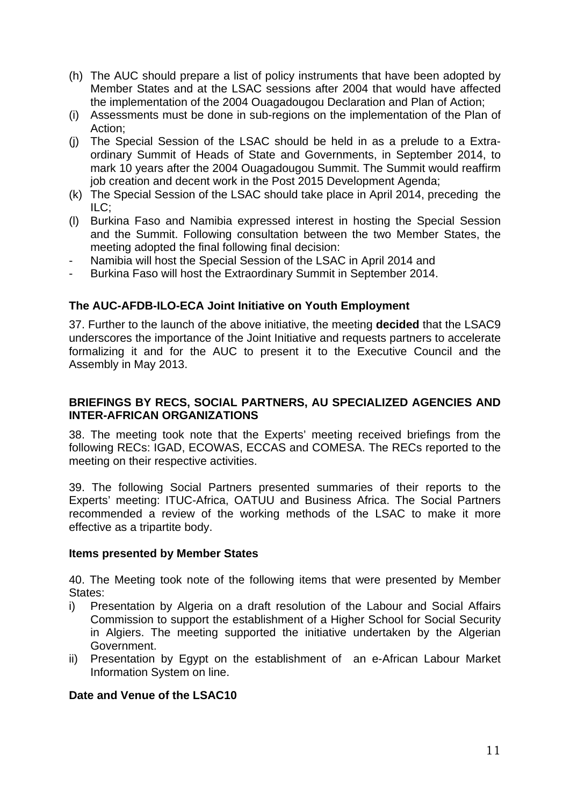- (h) The AUC should prepare a list of policy instruments that have been adopted by Member States and at the LSAC sessions after 2004 that would have affected the implementation of the 2004 Ouagadougou Declaration and Plan of Action;
- (i) Assessments must be done in sub-regions on the implementation of the Plan of Action;
- (j) The Special Session of the LSAC should be held in as a prelude to a Extraordinary Summit of Heads of State and Governments, in September 2014, to mark 10 years after the 2004 Ouagadougou Summit. The Summit would reaffirm job creation and decent work in the Post 2015 Development Agenda;
- (k) The Special Session of the LSAC should take place in April 2014, preceding the  $ILC$ ;
- (l) Burkina Faso and Namibia expressed interest in hosting the Special Session and the Summit. Following consultation between the two Member States, the meeting adopted the final following final decision:
- Namibia will host the Special Session of the LSAC in April 2014 and
- Burkina Faso will host the Extraordinary Summit in September 2014.

# **The AUC-AFDB-ILO-ECA Joint Initiative on Youth Employment**

37. Further to the launch of the above initiative, the meeting **decided** that the LSAC9 underscores the importance of the Joint Initiative and requests partners to accelerate formalizing it and for the AUC to present it to the Executive Council and the Assembly in May 2013.

#### **BRIEFINGS BY RECS, SOCIAL PARTNERS, AU SPECIALIZED AGENCIES AND INTER-AFRICAN ORGANIZATIONS**

38. The meeting took note that the Experts' meeting received briefings from the following RECs: IGAD, ECOWAS, ECCAS and COMESA. The RECs reported to the meeting on their respective activities.

39. The following Social Partners presented summaries of their reports to the Experts' meeting: ITUC-Africa, OATUU and Business Africa. The Social Partners recommended a review of the working methods of the LSAC to make it more effective as a tripartite body.

#### **Items presented by Member States**

40. The Meeting took note of the following items that were presented by Member States:

- i) Presentation by Algeria on a draft resolution of the Labour and Social Affairs Commission to support the establishment of a Higher School for Social Security in Algiers. The meeting supported the initiative undertaken by the Algerian Government.
- ii) Presentation by Egypt on the establishment of an e-African Labour Market Information System on line.

#### **Date and Venue of the LSAC10**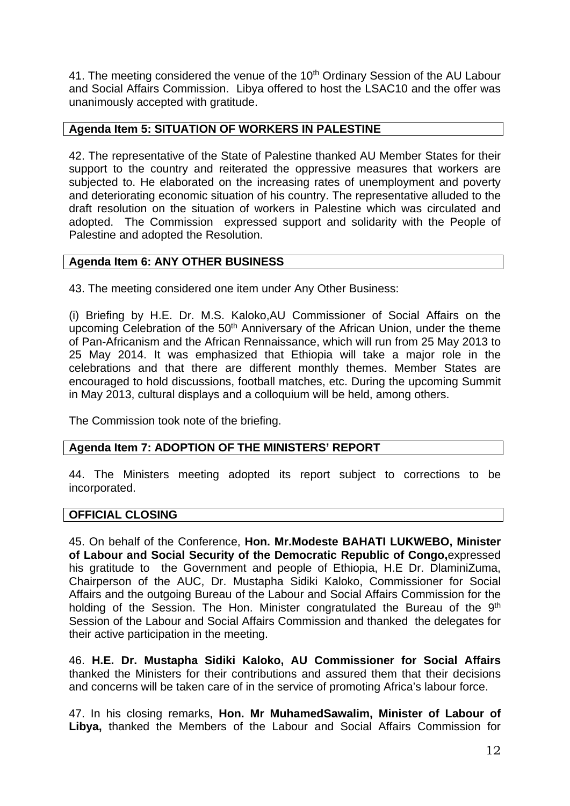41. The meeting considered the venue of the 10<sup>th</sup> Ordinary Session of the AU Labour and Social Affairs Commission. Libya offered to host the LSAC10 and the offer was unanimously accepted with gratitude.

# **Agenda Item 5: SITUATION OF WORKERS IN PALESTINE**

42. The representative of the State of Palestine thanked AU Member States for their support to the country and reiterated the oppressive measures that workers are subjected to. He elaborated on the increasing rates of unemployment and poverty and deteriorating economic situation of his country. The representative alluded to the draft resolution on the situation of workers in Palestine which was circulated and adopted. The Commission expressed support and solidarity with the People of Palestine and adopted the Resolution.

# **Agenda Item 6: ANY OTHER BUSINESS**

43. The meeting considered one item under Any Other Business:

(i) Briefing by H.E. Dr. M.S. Kaloko,AU Commissioner of Social Affairs on the upcoming Celebration of the 50<sup>th</sup> Anniversary of the African Union, under the theme of Pan-Africanism and the African Rennaissance, which will run from 25 May 2013 to 25 May 2014. It was emphasized that Ethiopia will take a major role in the celebrations and that there are different monthly themes. Member States are encouraged to hold discussions, football matches, etc. During the upcoming Summit in May 2013, cultural displays and a colloquium will be held, among others.

The Commission took note of the briefing.

# **Agenda Item 7: ADOPTION OF THE MINISTERS' REPORT**

44. The Ministers meeting adopted its report subject to corrections to be incorporated.

#### **OFFICIAL CLOSING**

45. On behalf of the Conference, **Hon. Mr.Modeste BAHATI LUKWEBO, Minister of Labour and Social Security of the Democratic Republic of Congo,**expressed his gratitude to the Government and people of Ethiopia, H.E Dr. DlaminiZuma, Chairperson of the AUC, Dr. Mustapha Sidiki Kaloko, Commissioner for Social Affairs and the outgoing Bureau of the Labour and Social Affairs Commission for the holding of the Session. The Hon. Minister congratulated the Bureau of the 9<sup>th</sup> Session of the Labour and Social Affairs Commission and thanked the delegates for their active participation in the meeting.

46. **H.E. Dr. Mustapha Sidiki Kaloko, AU Commissioner for Social Affairs** thanked the Ministers for their contributions and assured them that their decisions and concerns will be taken care of in the service of promoting Africa's labour force.

47. In his closing remarks, **Hon. Mr MuhamedSawalim, Minister of Labour of Libya,** thanked the Members of the Labour and Social Affairs Commission for